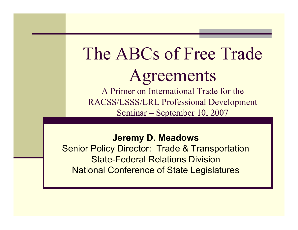#### The ABCs of Free Trade Agreements A Primer on International Trade for the

RACSS/LSSS/LRL Professional Development Seminar – September 10, 2007

**Jeremy D. Meadows** Senior Policy Director: Trade & Transportation State-Federal Relations DivisionNational Conference of State Legislatures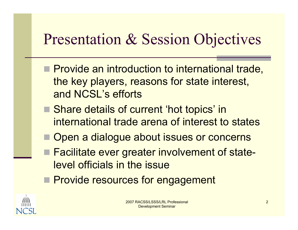# Presentation & Session Objectives

- **Provide an introduction to international trade,** the key players, reasons for state interest, and NCSL's efforts
- Share details of current 'hot topics' in international trade arena of interest to states
- F Open a dialogue about issues or concerns
- Facilitate ever greater involvement of statelevel officials in the issue
- **Provide resources for engagement**

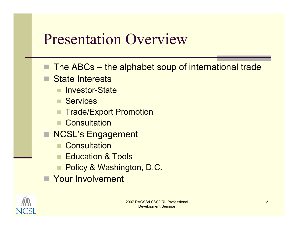## Presentation Overview

- The ABCs the alphabet soup of international trade
- State Interests
	- **Realing Linux State**
	- Services
	- Trade/Export Promotion
	- **Consultation**
- **NCSL's Engagement** 
	- **Consultation**
	- Education & Tools
	- Policy & Washington, D.C.
- **Nour Involvement**

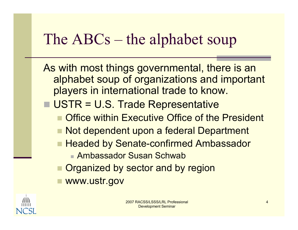As with most things governmental, there is an alphabet soup of organizations and important players in international trade to know.

- USTR = U.S. Trade Representative
	- Office within Executive Office of the President
	- Not dependent upon a federal Department
	- Headed by Senate-confirmed Ambassador
		- Ambassador Susan Schwab
	- Organized by sector and by region
	- www.ustr.gov

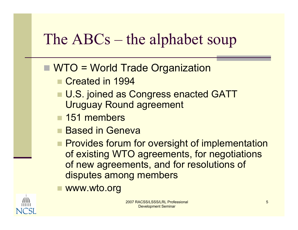#### ■ WTO = World Trade Organization

- Created in 1994
- U.S. joined as Congress enacted GATT Uruguay Round agreement
- 151 members
- Based in Geneva
- **Provides forum for oversight of implementation** of existing WTO agreements, for negotiations of new agreements, and for resolutions of disputes among members
- www.wto.org



2007 RACSS/LSSS/LRL Professional Development Seminar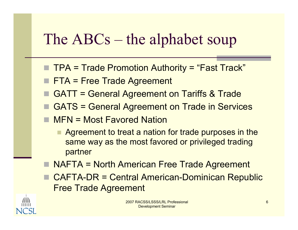- TPA = Trade Promotion Authority = "Fast Track"
- **FTA = Free Trade Agreement**
- GATT = General Agreement on Tariffs & Trade
- GATS = General Agreement on Trade in Services
- MFN = Most Favored Nation
	- Agreement to treat a nation for trade purposes in the same way as the most favored or privileged trading partner
- NAFTA = North American Free Trade Agreement
- CAFTA-DR = Central American-Dominican Republic Free Trade Agreement

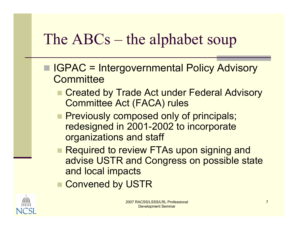- IGPAC = Intergovernmental Policy Advisory **Committee** 
	- Created by Trade Act under Federal Advisory Committee Act (FACA) rules
	- **Previously composed only of principals;** redesigned in 2001-2002 to incorporate organizations and staff
	- Required to review FTAs upon signing and advise USTR and Congress on possible state and local impacts
	- Convened by USTR

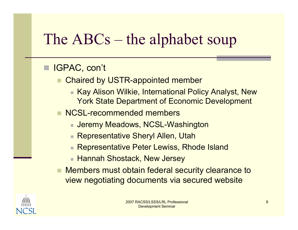#### IGPAC, con't

- Chaired by USTR-appointed member
	- Kay Alison Wilkie, International Policy Analyst, New York State Department of Economic Development
- **NCSL-recommended members** 
	- Jeremy Meadows, NCSL-Washington
	- Representative Sheryl Allen, Utah
	- Representative Peter Lewiss, Rhode Island
	- Hannah Shostack, New Jersey
- Members must obtain federal security clearance to view negotiating documents via secured website

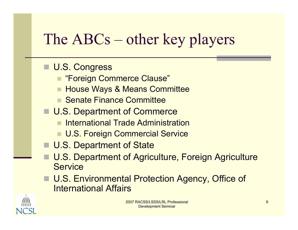# The ABCs – other key players

#### ■ U.S. Congress

- "Foreign Commerce Clause"
- House Ways & Means Committee
- **E** Senate Finance Committee
- U.S. Department of Commerce
	- International Trade Administration
	- U.S. Foreign Commercial Service
- U.S. Department of State
	- U.S. Department of Agriculture, Foreign Agriculture **Service**
- U.S. Environmental Protection Agency, Office of International Affairs

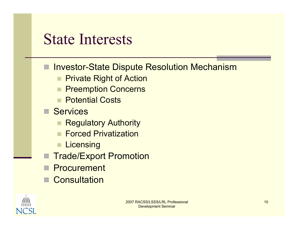#### State Interests

- Investor-State Dispute Resolution Mechanism
	- ٠ Private Right of Action
	- **Preemption Concerns**
	- **Reports Potential Costs**
- Services
	- Regulatory Authority
	- Forced Privatization
	- $\blacksquare$  Licensing
	- Trade/Export Promotion
	- **Procurement**
- **Consultation**

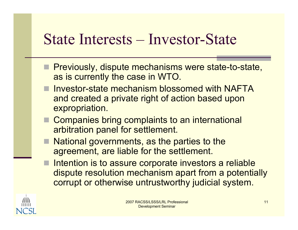#### State Interests – Investor-State

- **Previously, dispute mechanisms were state-to-state,** as is currently the case in WTO.
- Investor-state mechanism blossomed with NAFTA and created a private right of action based upon expropriation.
- Companies bring complaints to an international arbitration panel for settlement.
- National governments, as the parties to the agreement, are liable for the settlement.
- **Intention is to assure corporate investors a reliable** dispute resolution mechanism apart from a potentially corrupt or otherwise untrustworthy judicial system.

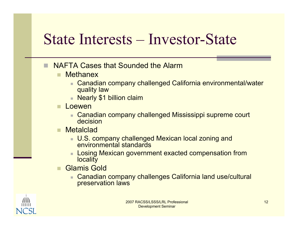## State Interests – Investor-State

- NAFTA Cases that Sounded the Alarm
	- $\blacksquare$ **Methanex** 
		- Canadian company challenged California environmental/water quality law
		- Nearly \$1 billion claim
	- Loewen
		- Canadian company challenged Mississippi supreme court decision
	- **Metalclad** 
		- U.S. company challenged Mexican local zoning and environmental standards
		- Losing Mexican government exacted compensation from **locality**
	- Glamis Gold
		- Canadian company challenges California land use/cultural preservation laws

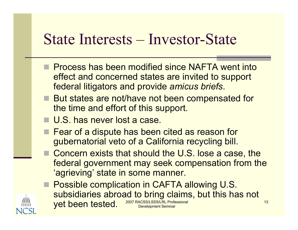### State Interests – Investor-State

- **Process has been modified since NAFTA went into** effect and concerned states are invited to support federal litigators and provide *amicus briefs*.
- But states are not/have not been compensated for the time and effort of this support.
- U.S. has never lost a case.
- Fear of a dispute has been cited as reason for gubernatorial veto of a California recycling bill.
- Concern exists that should the U.S. lose a case, the federal government may seek compensation from the 'agrieving' state in some manner.

2007 RACSS/LSSS/LRL Professional Development Seminar **Possible complication in CAFTA allowing U.S.** subsidiaries abroad to bring claims, but this has not yet been tested.

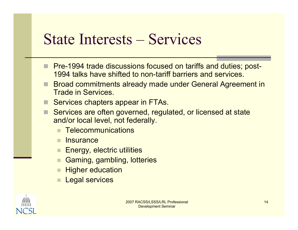#### State Interests – Services

- Pre-1994 trade discussions focused on tariffs and duties; post-1994 talks have shifted to non-tariff barriers and services.
- Broad commitments already made under General Agreement in Trade in Services.
- Services chapters appear in FTAs.
- П Services are often governed, regulated, or licensed at state and/or local level, not federally.
	- **Telecommunications**
	- **Insurance**
	- Energy, electric utilities
	- Gaming, gambling, lotteries
	- Higher education
	- Legal services

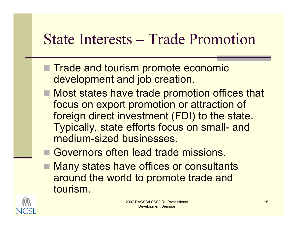## State Interests – Trade Promotion

- Trade and tourism promote economic development and job creation.
- Most states have trade promotion offices that focus on export promotion or attraction of foreign direct investment (FDI) to the state. Typically, state efforts focus on small- and medium-sized businesses.
- Governors often lead trade missions.
- F Many states have offices or consultants around the world to promote trade and tourism.

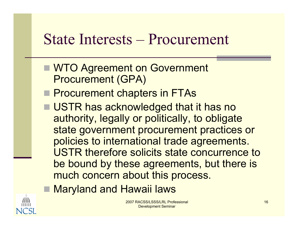#### State Interests – Procurement

- **NTO Agreement on Government** Procurement (GPA)
- **Procurement chapters in FTAs**
- USTR has acknowledged that it has no authority, legally or politically, to obligate state government procurement practices or policies to international trade agreements. USTR therefore solicits state concurrence to be bound by these agreements, but there is much concern about this process.
- Maryland and Hawaii laws

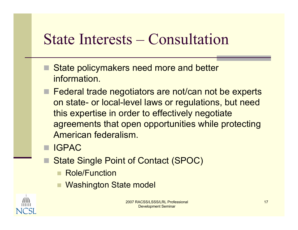## State Interests – Consultation

- State policymakers need more and better information.
- Federal trade negotiators are not/can not be experts on state- or local-level laws or regulations, but need this expertise in order to effectively negotiate agreements that open opportunities while protecting American federalism.
- **IGPAC** 
	- State Single Point of Contact (SPOC)
		- Role/Function
		- Washington State model

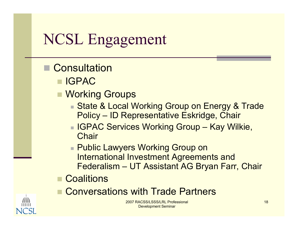- **Consultation** 
	- IGPAC
	- Working Groups
		- State & Local Working Group on Energy & Trade Policy – ID Representative Eskridge, Chair
		- IGPAC Services Working Group Kay Wilkie, **Chair**
		- Public Lawyers Working Group on International Investment Agreements and Federalism – UT Assistant AG Bryan Farr, Chair
	- **□ Coalitions**
	- Conversations with Trade Partners

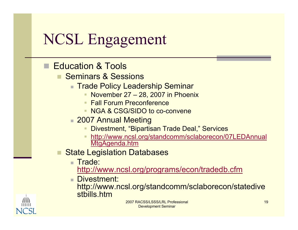- Education & Tools
	- Seminars & Sessions
		- **Trade Policy Leadership Seminar** 
			- **November 27 28, 2007 in Phoenix**
			- **Fall Forum Preconference**
			- NGA & CSG/SIDO to co-convene
		- 2007 Annual Meeting
			- Divestment, "Bipartisan Trade Deal," Services
			- http://www.ncsl.org/standcomm/sclaborecon/07LEDAnnual MtgAgenda.htm
	- State Legislation Databases
		- **Trade:**

http://www.ncsl.org/programs/econ/tradedb.cfm

**■ Divestment:** 

http://www.ncsl.org/standcomm/sclaborecon/statedive stbills.htm

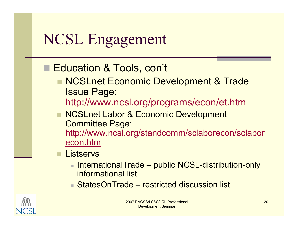#### ■ Education & Tools, con't

- NCSLnet Economic Development & Trade Issue Page:
	- http://www.ncsl.org/programs/econ/et.htm
- NCSLnet Labor & Economic Development Committee Page: http://www.ncsl.org/standcomm/sclaborecon/sclabor econ.htm
- **Listservs** 
	- InternationalTrade public NCSL-distribution-only informational list
	- StatesOnTrade restricted discussion list

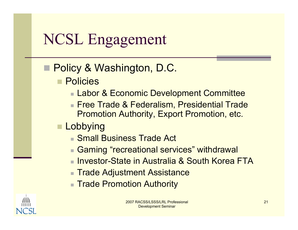- Policy & Washington, D.C.
	- **Policies** 
		- Labor & Economic Development Committee
		- Free Trade & Federalism, Presidential Trade Promotion Authority, Export Promotion, etc.
	- $\blacksquare$  Lobbying
		- Small Business Trade Act
		- Gaming "recreational services" withdrawal
		- Investor-State in Australia & South Korea FTA
		- **Trade Adjustment Assistance**
		- Trade Promotion Authority

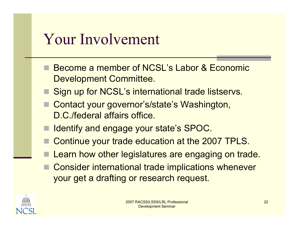## Your Involvement

- Become a member of NCSL's Labor & Economic Development Committee.
- Sign up for NCSL's international trade listservs.
- Contact your governor's/state's Washington, D.C./federal affairs office.
- Identify and engage your state's SPOC.
- Continue your trade education at the 2007 TPLS.
- Learn how other legislatures are engaging on trade.
- Consider international trade implications whenever your get a drafting or research request.